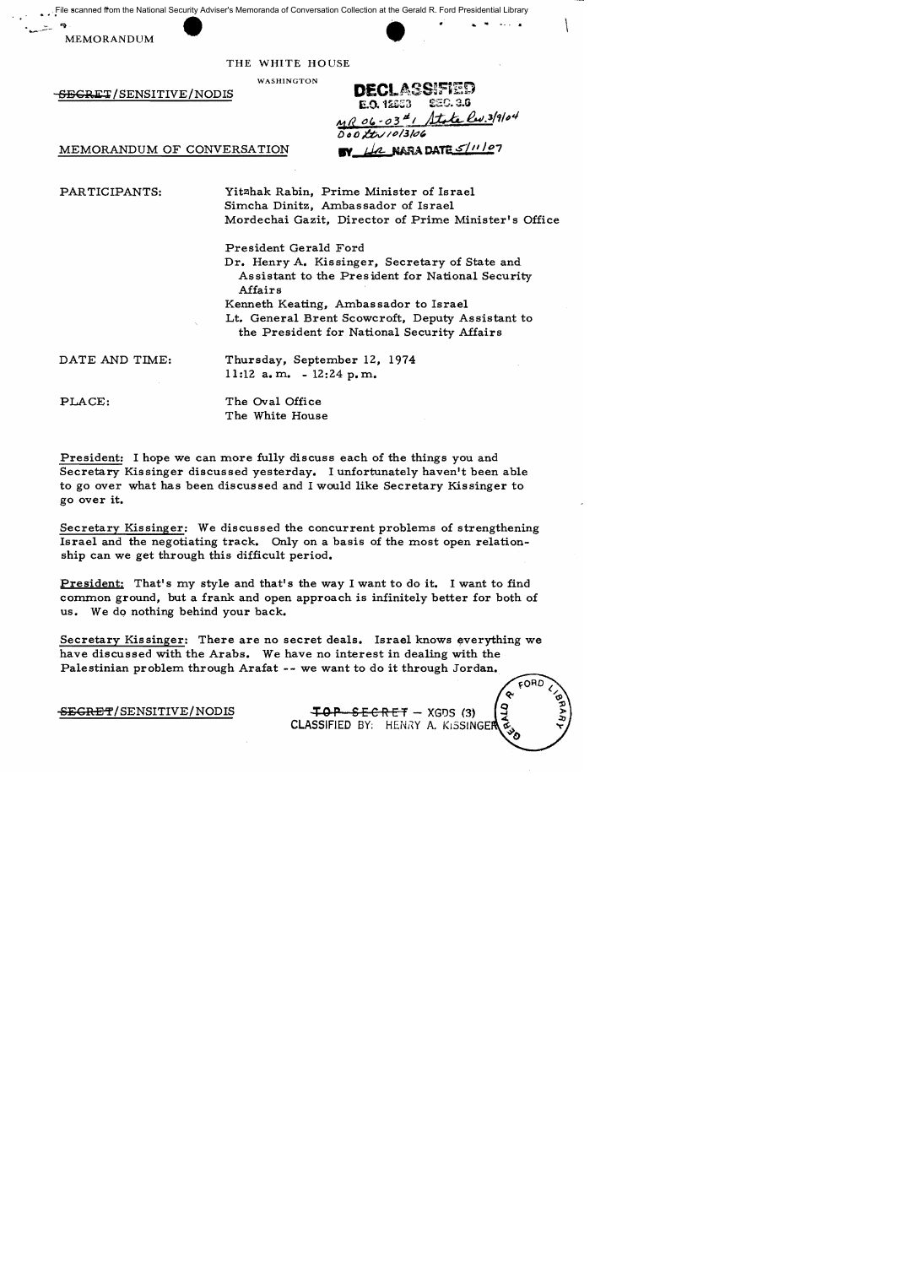. File scanned from the National Security Adviser's Memoranda of Conversation Collection at the Gerald R. Ford Presidential Library File scanned from the National Security Adviser's Memoranda of Conversation Collection at the Gerald R. For MEMORANDUM<br>MEMORANDUM<br>THE WHITE HOUSE

MEMORANDUM



THE WHITE HOUSE

WASHINGTON

 $-$ <del>SECRE</del>T/SENSITIVE/NODIS

MEMORANDUM OF CONVERSATION

DECLASSIFIED £EC. 3.6 **E.O. 12653** State Rev. 3/9/04  $MR06-0341$ DOD Ity 10/3/06 BY LA NARA DATE 5/11/07

PARTICIPANTS:

Yit2lhak Rabin, Prime Minister of Israel Simcha Dinitz, Ambassador of Israel Mordechai Gazit, Director of Prime Minister's Office

President Gerald Ford

Dr. Henry A. Kissinger, Secretary of State and Assistant to the President for National Security Affairs

Kenneth Keating, Ambassador to Israel

Lt. General Brent Scowcroft, Deputy Assistant to the President for National Security Affairs

DATE AND TIME:

Thursday, September 12, 1974 11:12 a.m.  $-12:24$  p.m.

PLACE:

The Oval Office The White House

President: I hope we can more fully discuss each of the things you and Secretary Kissinger discussed yesterday. I unfortunately haven't been able to go over what has been discussed and I would like Secretary Kissinger to go over it.

Secretary Kissinger: We discussed the concurrent problems of strengthening Israel and the negotiating track. Only on a basis of the most open relationship can we get through this difficult period.

President: That's my style and that's the way I want to do it. I want to find common ground, but a frank and open approach is infinitely better for both of us. We do nothing behind your back.

Secretary Kissinger: There are no secret deals. Israel knows everything we have discussed with the Arabs. We have no interest in dealing with the Palestinian problem through Arafat -- we want to do it through Jordan.

SEGRET/SENSITIVE/NODIS TOP SECRET - XGDS (3) CLASSIFIED BY: HENRY A. KISSINGER FORD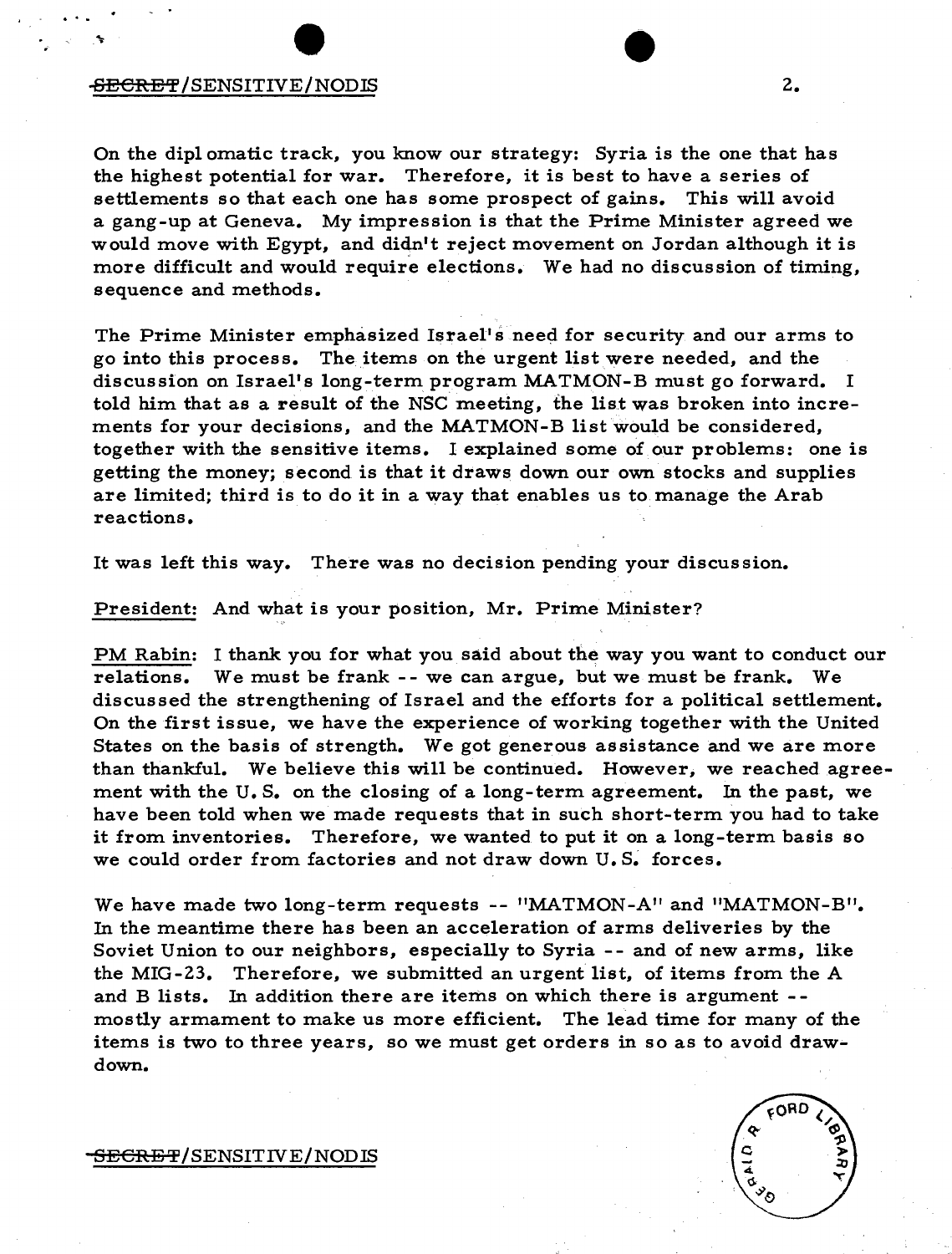## -SECRET/SENSITIVE/NODIS 2.

· ..

On the diplomatic track, you know our strategy: Syria is the one that has the highest potential for war. Therefore, it is best to have a series of settlements so that each one has some prospect of gains. This will avoid a gang-up at Geneva. My impression is that the Prime Minister agreed we would move with Egypt, and didn't reject movement on Jordan although it is more difficult and would require elections. We had no discussion of timing, sequence and methods.

The Prime Minister emphasized Israel's need for security and our arms to go into this process. The items on the urgent listwere needed, and the discussion on Israel's long-term program MATMON-B must go forward. I told him that as a result of the NSC meeting, the list was broken into increments for your decisions, and the MATMON-B list would be considered, together with the sensitive items. I explained some of our problems: one is getting the money; second is that it draws down our own stocks and supplies are limited; third is to do it in a way that enables us to manage the Arab reactions.

It was left this way. There was no decision pending your discussion.

President: And what is your position, Mr. Prime Minister?

PM Rabin: I thank you for what you said about the way you want to conduct our relations. We must be frank - - we can argue, but we must be frank. We discussed the strengthening of Israel and the efforts for a political settlement. On the first issue, we have the experience of working together with the United States on the basis of strength. We got generous assistance and we are more than thankful. We believe this will be continued. However, we reached agreement with the U. S. on the closing of a long-term agreement. In the past, we have been told when we made requests that in such short-term you had to take it from inventories. Therefore, we wanted to put it on a long-term basis so we could order from factories and not draw down U.S. forces.

We have made two long-term requests -- "MATMON -A" and "MATMON -B". In the meantime there has been an acceleration of arms deliveries by the Soviet Union to our neighbors, especially to Syria -- and of new arms, like the MIG-23. Therefore, we submitted an urgent list, of items from the A and B lists. In addition there are items on which there is argument - mostly armament to make us more efficient. The lead time for many of the items is two to three years, so we must get orders in so as to avoid drawdown.

<del>SECRET</del>/SENSIT IV E/NOD IS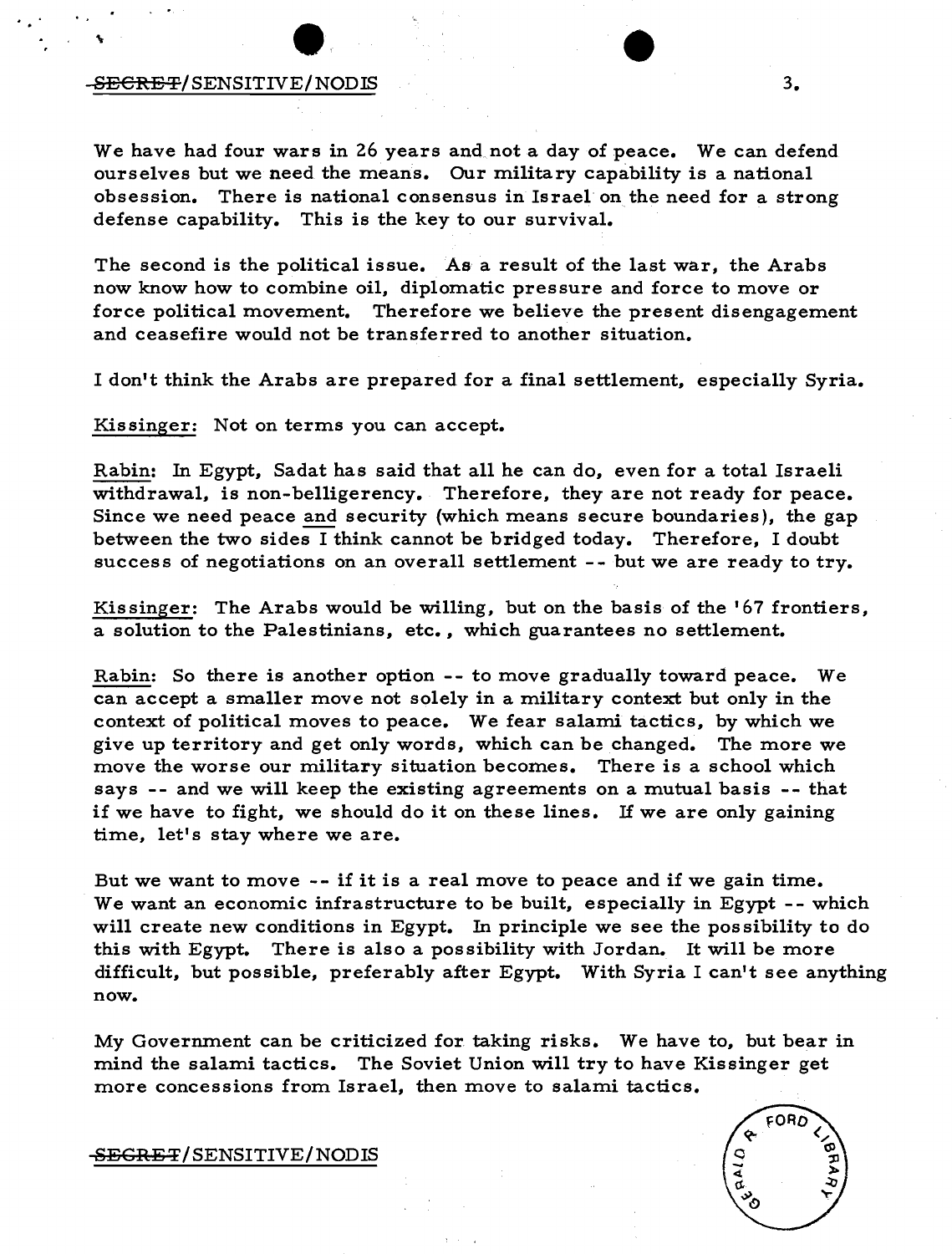### -S<del>ECRET</del>/SENSITIVE/NODIS 3.

. . . ..

We have had four wars in 26 years and not a day of peace. We can defend ourselves but we need the means. Our military capability is a national obsession. There is national consensus in Israel on the need for a strong defense capability. This is the key to our survival.

The second is the political issue. As a result of the last war, the Arabs now know how to combine oil, diplomatic pressure and force to move or force political movement. Therefore we believe the present disengagement and ceasefire would not be transferred to another situation.

I don't think the Arabs are prepared for a final settlement, especia11y Syria.

Kissinger: Not on terms you can accept.

Rabin: In Egypt, Sadat has said that a11 he can do, even for a total Israeli withdrawal, is non-belligerency. Therefore, they are not ready for peace. Since we need peace and security (which means secure boundaries), the gap between the two sides I think cannot be bridged today. Therefore, I doubt success of negotiations on an overa11 settlement -- but we are ready to try.

Kissinger: The Arabs would be wi11ing, but on the basis of the' 67 frontiers, a solution to the Palestinians, etc., which guarantees no settlement.

Rabin: So there is another option -- to move gradua11y toward peace. We can accept a sma11er move not solely in a military context but only in the context of political moves to peace. We fear salami tactics, by which we give up territory and get only words, which can be changed. The more we move the worse our military situation becomes. There is a school which says -- and we wi11 keep the existing agreements on a mutual basis -- that if we have to fight, we should do it on these lines. If we are only gaining time, let's stay where we are.

But we want to move -- if it is a real move to peace and if we gain time. We want an economic infrastructure to be built, especially in Egypt -- which will create new conditions in Egypt. In principle we see the possibility to do this with Egypt. There is also a possibility with Jordan. It wi11 be more difficult, but possible, preferably after Egypt. With Syria I can't see anything now.

My Government can be criticized for. taking risks. We have to, but bear in mind the salami tactics. The Soviet Union wi11 try to have Kissinger get more concessions from Israel, then move to salami tactics.

<del>SEGRET</del>/SENSITIVE/NODIS

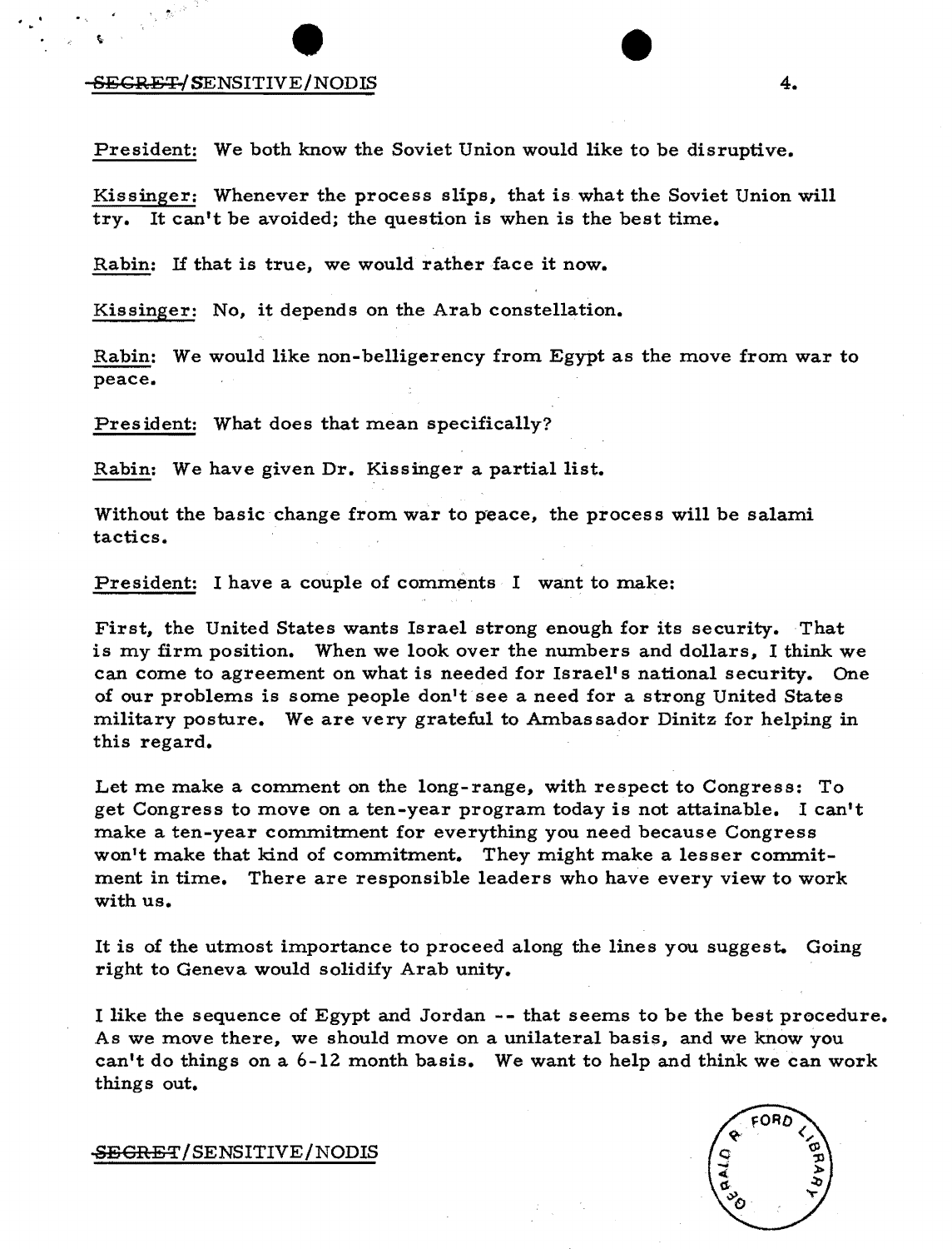## SECRET/SENSITIVE/NODIS 4.

 $\cdot$  .  $\cdot$ 

President: We both know the Soviet Union would like to be disruptive.

Kissinger: Whenever the process slips, that is what the Soviet Union will try. It can't be avoided; the question is when is the best time.

Rabin: If that is true, we would rather face it now.

Kissinger: No, it depends on the Arab constellation.

Rabin: We would like non-belligerency from Egypt as the move from war to peace.

President: What does that mean specifically?

Rabin: We have given Dr. Kissinger a partial list.

Without the basic change from war to peace, the process will be salami tactics.

President: I have a couple of comments I want to make:

First, the United States wants Israel strong enough for its security. That is my firm position. When we look over the numbers and dollars, I think we can come to agreement on what is needed for Israel's national security. One of our problems is some people don't see a need for a strong United States military posture. We are very grateful to Ambassador Dinitz for helping in this regard.

Let me make a comment on the long-range, with respect to Congress: To get Congress to move on a ten-year program today is not attainable. I can't make a ten-year commitment for everything you need because Congress won't make that kind of commitment. They might make a lesser commitment in time. There are responsible leaders who have every view to work with us.

It is of the utmost importance to proceed along the lines you suggest. Going right to Geneva would solidify Arab unity.

I like the sequence of Egypt and Jordan -- that seems to be the best procedure. As we move there, we should move on a unilateral basis, and we know you can't do things on a 6-12 month basis. We want to help and think we can work things out.

SEGRET/SENSITIVE/NODIS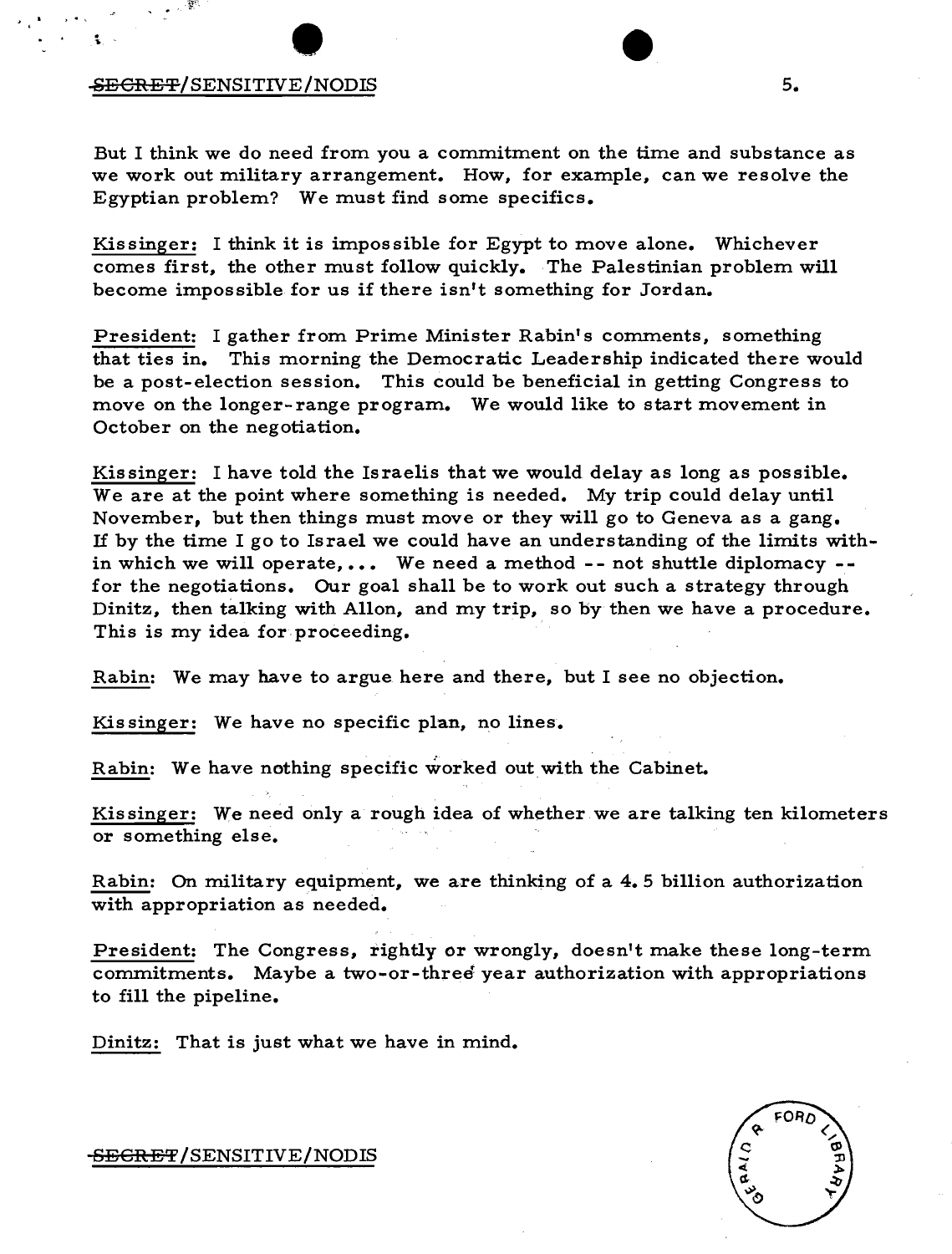# -SECRET/SENSITIVE/NODIS 5.

, , , , ,

 $\frac{1}{2}$ . ~

But I think we do need from you a commitment on the time and substance as we work out military arrangement. How, for example, can we resolve the Egyptian problem? We must find some specifics.

Kissinger: I think it is impossible for Egypt to move alone. Whichever comes first, the other must follow quickly. The Palestinian problem will become impossible for us if there isn't something for Jordan.

President: I gather from Prime Minister Rabin's comments, something that ties in. This morning the Democratic Leadership indicated there would be a post-election session. This could be beneficial in getting Congress to move on the longer- range program. We would like to start movement in October on the negotiation.

Kissinger: I have told the Israelis that we would delay as long as possible. We are at the point where something is needed. My trip could delay until November, but then things must move or they will go to Geneva as a gang. If by the time I go to Israel we could have an understanding of the limits within which we will operate.... We need a method  $-$ - not shuttle diplomacy  $-$ for the negotiations. Our goal shall be to work out such a strategy through Dinitz, then talking with Allon, and my trip, so by then we have a procedure. This is my idea for proceeding.

Rabin: We may have to argue here and there, but I see no objection.

Kis singer: We have no specific plan, no lines.

Rabin: We have nothing specific worked out with the Cabinet.

Kissinger: We need only a rough idea of whether we are talking ten kilometers or something else.

Rabin: On military equipment, we are thinking of a 4.5 billion authorization with appropriation as needed.

President: The Congress, rightly or wrongly, doesn't make these long-term commitments. Maybe a two-or-three year authorization with appropriations to fill the pipeline.

Dinitz: That is just what we have in mind.



-<del>SECRET</del>/SENSITIVE/NODIS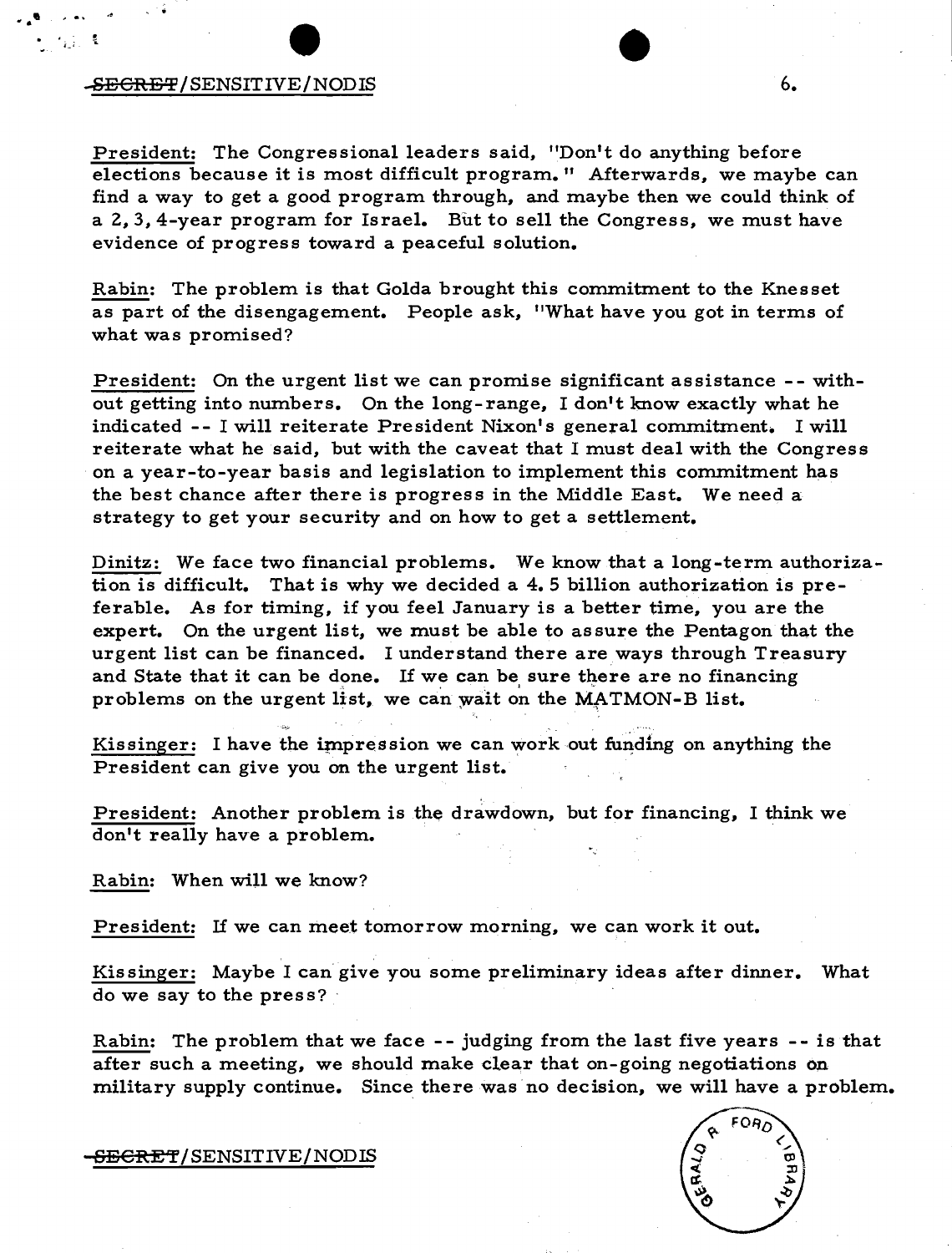## $\blacktriangleright$ <del>SECRET</del>/SENSITIVE/NODIS 6.

• • 'II

President: The Congressional leaders said, "Don't do anything before elections because it is most difficult program." Afterwards, we maybe can find a way to get a good program through, and maybe then we could think of a 2,3, 4-year program for Israel. But to sell the Congress, we must have evidence of progress toward a peaceful solution.

Rabin: The problem is that Golda brought this commitment to the Knesset as part of the disengagement. People ask, "What have you got in terms of what was promised?

President: On the urgent list we can promise significant assistance -- without getting into numbers. On the long-range, I don't know exactly what he indicated -- I will reiterate President Nixon's general commitment. I will reiterate what he said, but with the caveat that I must deal with the Congres s on a year-to-year basis and legislation to implement this commitment has the best chance after there is progress in the Middle East. We need a strategy to get your security and on how to get a settlement.

Dinitz: We face two financial problems. We know that a long-term authorization is difficult. That is why we decided a 4.5 billion authorization is preferable. As for timing, if you feel January is a better time, you are the expert. On the urgent list, we must be able to assure the Pentagon that the urgent list can be financed. I understand there are ways through Treasury and State that it can be done. If we can be sure there are no financing problems on the urgent list, we can wait on the MATMON-B list.

Kissinger: I have the impression we can work out funding on anything the President can give you on the urgent list.

President: Another problem is the drawdown, but for financing, I think we don't really have a problem.

Rabin: When will we know?

President: If we can meet tomorrow morning, we can work it out.

Kissinger: Maybe I can give you some preliminary ideas after dinner. What do we say to the press?

Rabin: The problem that we face - - judging from the last five years - - is that after such a meeting, we should make clear that on-going negotiations on military supply continue. Since there was no decision, we will have a problem.

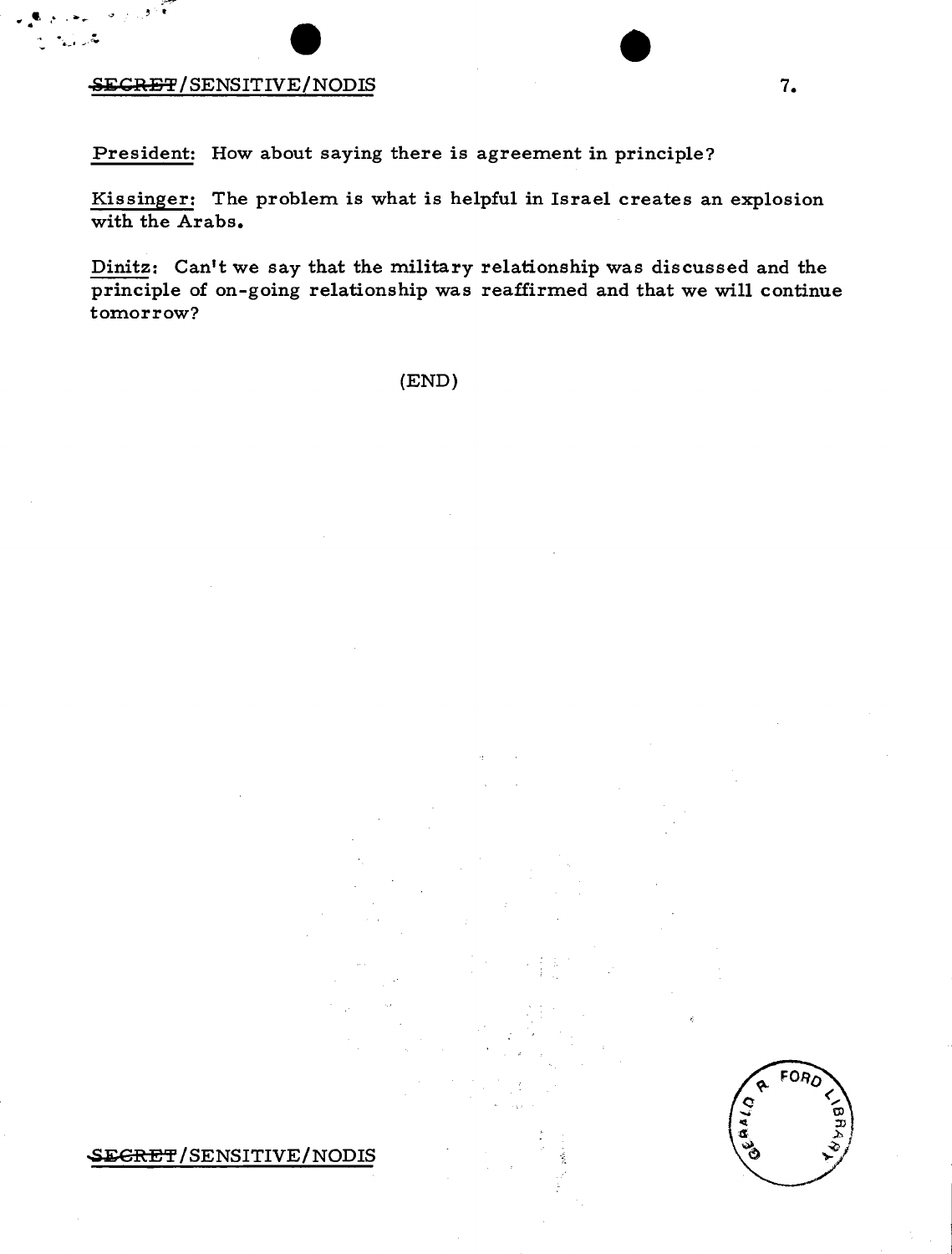# **in 1.** SECRET/SENSITIVE/NODIS 7.

**· ,..'** ," . **--** <sup>~</sup>, .

President: How about saying there is agreement in principle?

Kissinger: The problem is what is helpful in Israel creates an explosion with the Arabs.

Dinitz: Can't we say that the military relationship was discussed and the principle of on-going relationship was reaffirmed and that we will continue tomorrow?

(END)

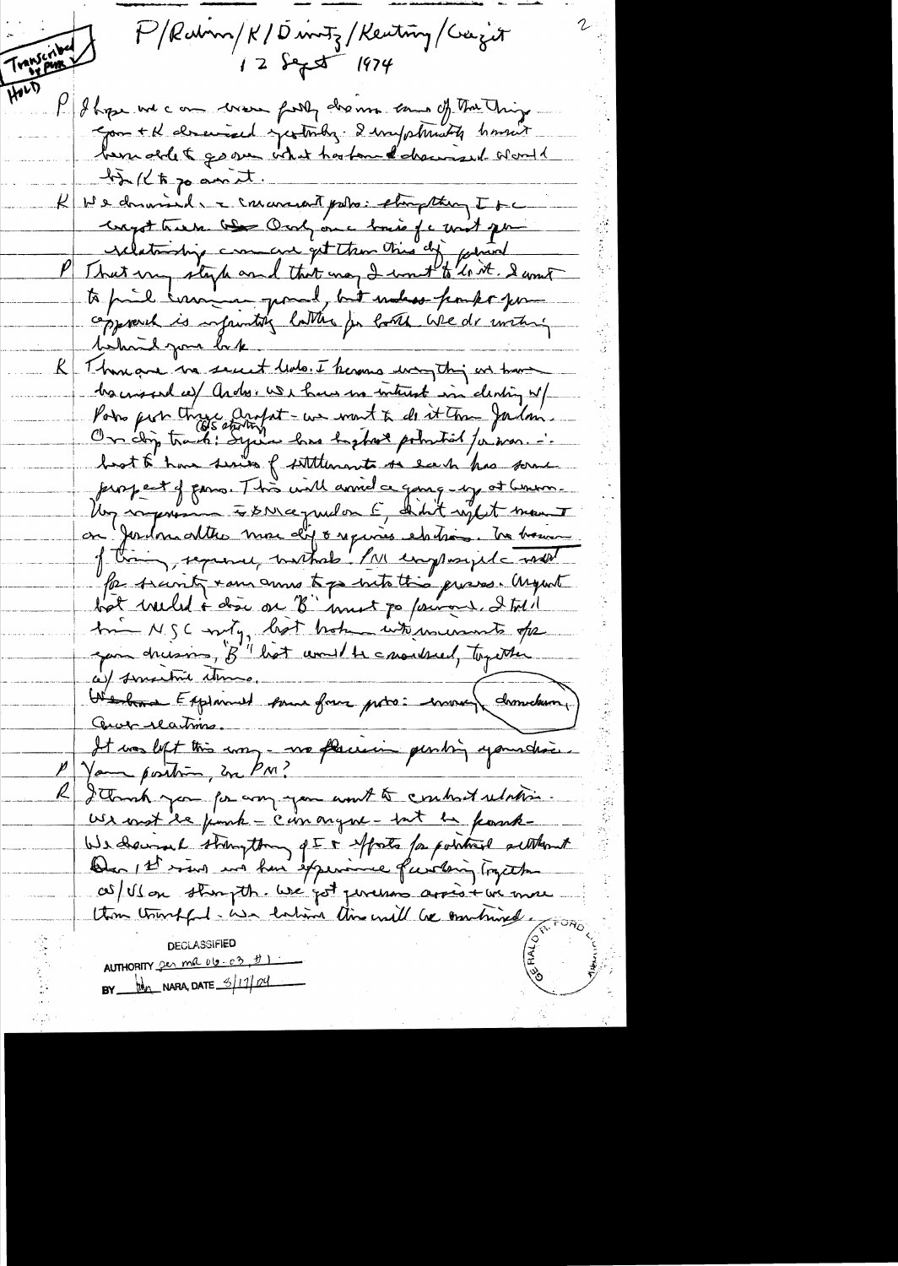P/Rabom/K/Dantz/Kenting/Cazit Transcribe  $12$   $543$   $1974$ HOLD  $\mu$ I hope we can were firsty dreams can of the Things gon + K drained yesterdy. I impolitionthe homest bemobilet government touten d'dramaint sont  $47/(17)$  and Ne dominaire commandant pours et apropting It Longot trans. One Oral on a lomin de mont pour copposed is infaintif latter for look Wede within behavil par lake R Thomas we secut ledo. I know way this are have ha mound is and conservatives in interest in denting w/ Podro picto three anglot - we want to do it the Jailon perspect of passo. This will armid a gang-sy at Censon. Un rapport à DNCe puilon C didit reglet mans a of this represely withold ! I'll employed and Par secont + ans anna tops suite this process. Argent bot weeled i door on "B" unet po fairons. I told In NSC with, bot broken when wonte of gon dreison, "B" hat would be another, together ce) serventive atoms. ce) surcessor comment some four pro: environ drometeron.) Cerve reations. It vos left this une - vos flaciens pending your drois. Your postion, in PM? I Though you for any you won't to control relation Use mot le finnt - commander - tat la frank-We chaine thoughton que à efforts for pointres authorit as/ Ul on strongth. We got persens arrive in me thou trivital - use habit time will be important **DECLASSIFIED** AUTHORITY  $2e_2$  me  $010-e_2$ ,  $01$ BY  $\frac{1}{2}$  NARA, DATE  $\frac{6}{11}$  ol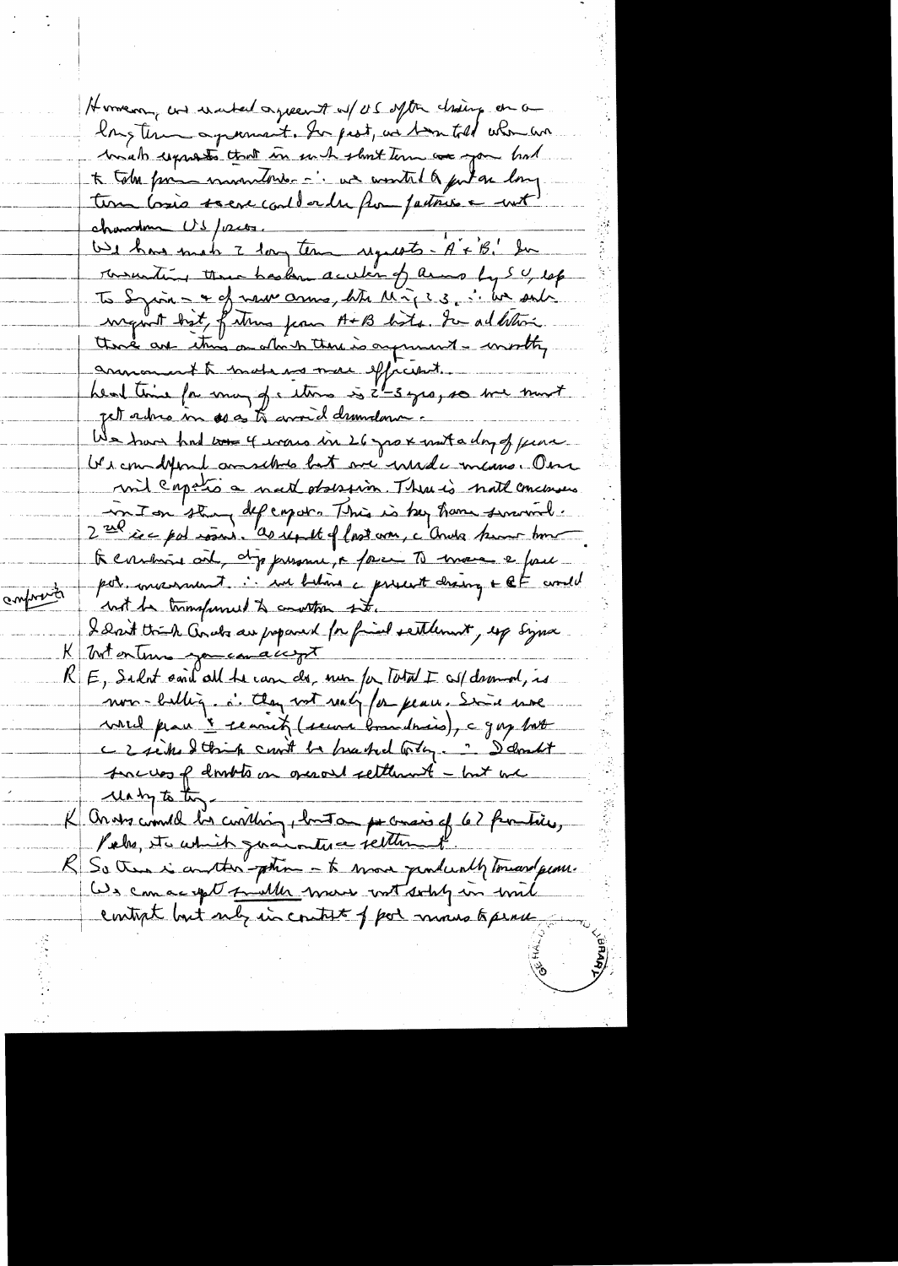Homeon, and warhed agreement of US often chaing on a long terms apponent. So pest, as toon told when we bid was to that in much slow time are you had to tobe form mondorer in we wonted for an long. ture losie source could order for patricie en unt rownwiting there has kne acceler of arms by SU, lef To Syron - + of new anno, like Mig23, i lum sub wegent birt, future from A+B hots. In addition there are this on when there is argument - wistty annousn't trade us more efficient. jet adres in as as to corrid demodence. We have had too 4 was in 26 gro x muta day of fear be commatine and the both me winder mans. One wil capation matt observin There is not concernes in I on the defergates This is bey have several. 2 rue ice par voirs. As reput of last von, c'andre hum tom A contrait ait, dippersonne, a faire To marce e four por moissant : an behind a present draing + QF would conformed not be transformed to construe ste. I don't trick ands are proposed for find settlement, exp Syna matentums you can accept <u>K.</u> E, Salot said all be can de, non for Total I cal demand, is non-bellig. i. Aug not realy for peace, Since more write place 'i seamet (secon boundaries), a gay but c 2 siche I think count be breached with . I doubt success of dombts on operant settlement - but we uning to the K On ats counter la contain pour la partie de la familie. R So then is another - phin - to move producedly tomard prove. We can accept fille was with solity in with contrat but sub in control feel mous to peru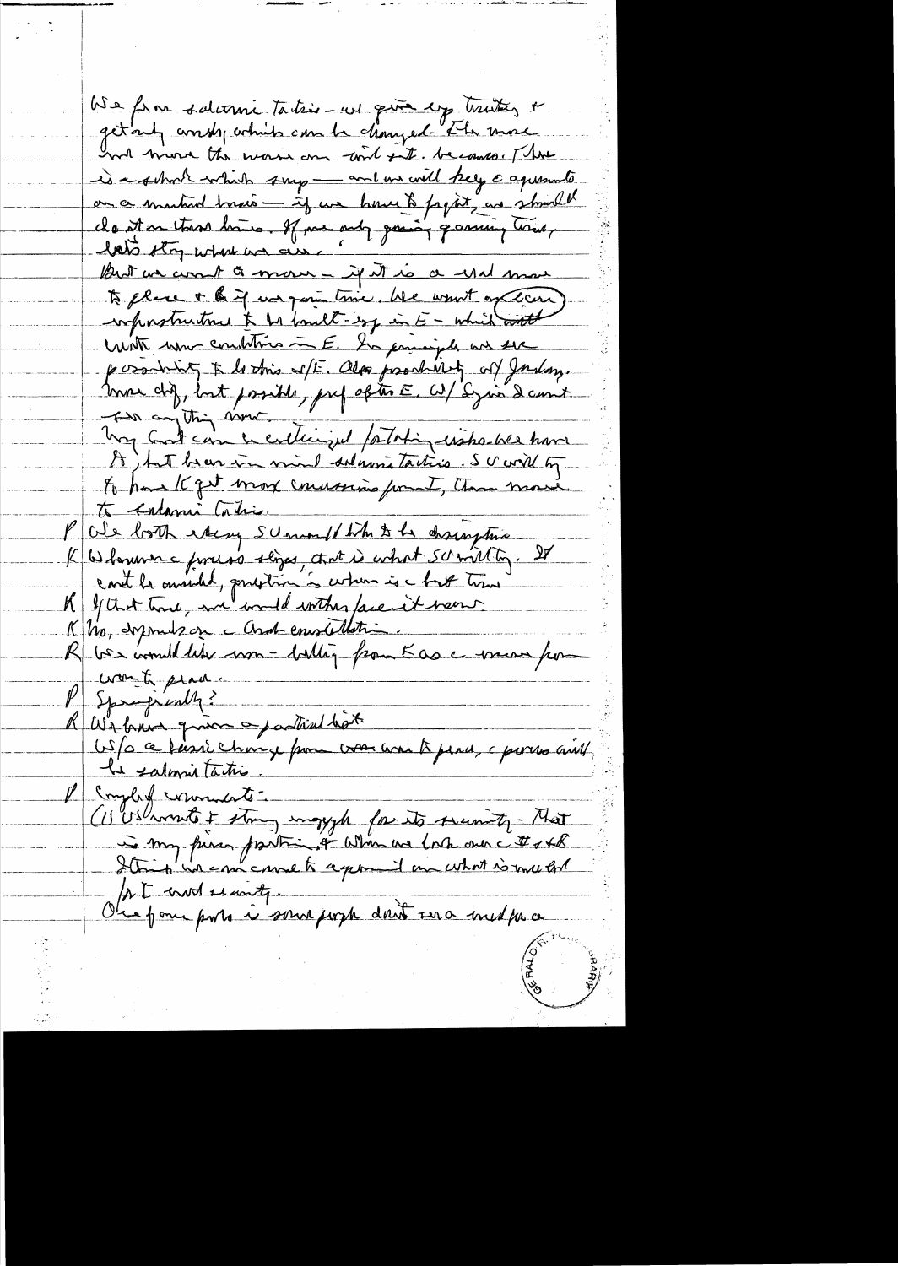We form salurine takis-us quie explicities a get and andy which can be changed . The more had him the wass on wit to become . The is a school which sup - and we will keep capersmate on a mutual trais - if we have to papit as struct of to place + h if was going time. We want of dans repositivities & he fault-sy in E - which with With mon-combition = E. In principale and sere possibility & lottins w/E. Olas possibility of Joseph. The anything nome . I I de Totin crès ble have A , hat been in mind delarmitations. Sc will by to have It get may conversion from the move to entami Cahier P We both wheny scene the to desingtive K Y that time, me und wither face it were<br>K No, dysmus on a Andremotellation.<br>R bes would like worn - ballig from K as a woman from want plad.  $\frac{p}{q}$  Spragically? A We have quier a partial hat US/O ce faire change pour vous avant pend, c parres aiet he salmintation P Somply comments -(1) Ushmento + story imageph for its security. That At mod search. Observe pour porte à somme pour dont una media a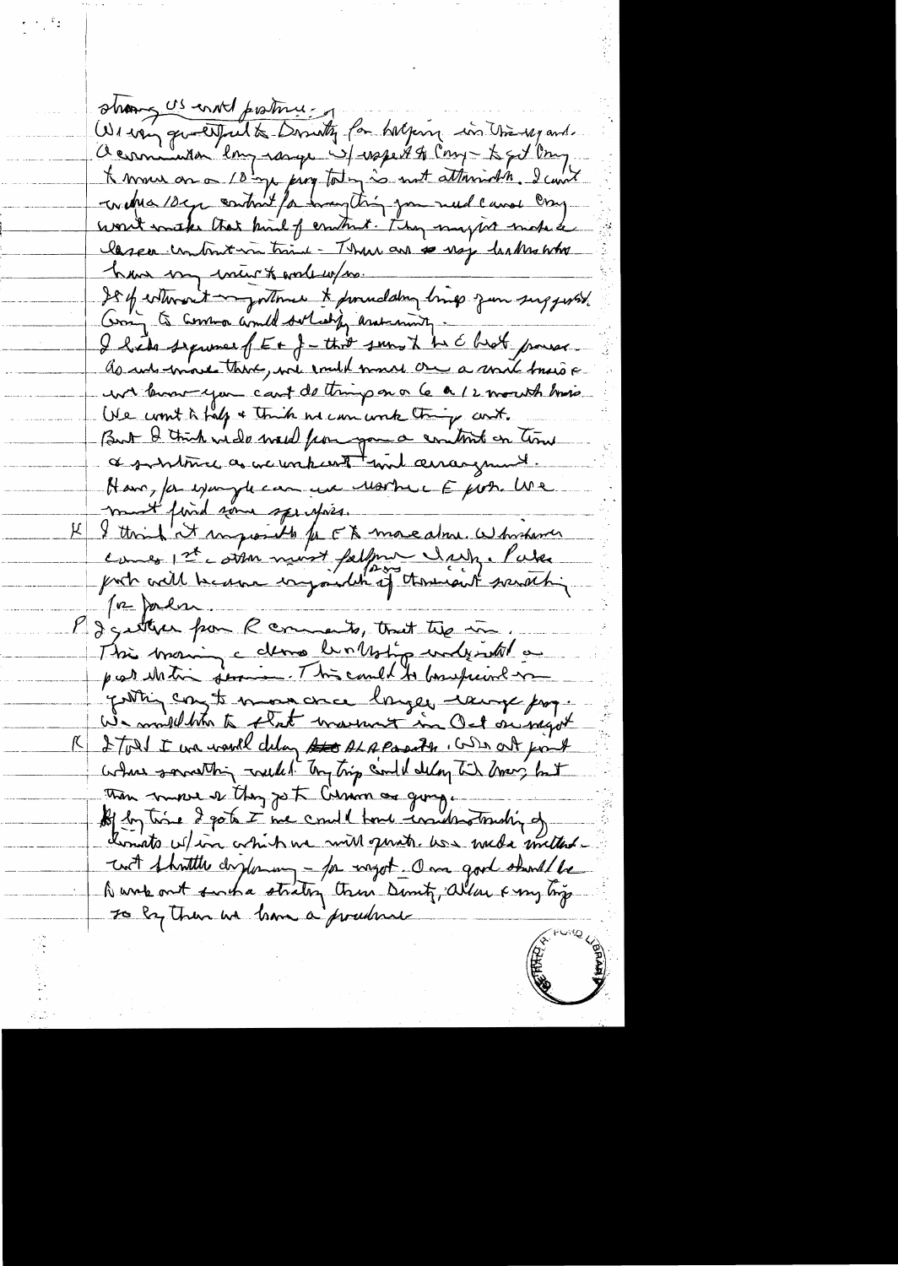shang US en Ml protonus We want questpulte Dorrety for halping in University and. Ocamina long range 4 rape # 91 comp & got long. A mour as a 10 mp prog toting is not attoring I could lassen untout in trint - There are so usy leakes who have my inter to walk w/m. Je of estimant myntenner & promolating brings zum surggester Com to common and solceding assuming. I hade sequence of E + f - thit somethe the Chief process. as we work there, we would much one a mort torsion we know you can't do thing on a le a 12 month how We won't is fall a think no can write thing cont. But I think wide weed from you a contrat on time Have, for expanyte can use Martin E por Use ment find some specifies. I think it impossible for EX mare alme. Whichever  $\mathcal{K}$ comes 1st corren moist falfons darp. Parler To Jordan. P I getter from R comments, that the in. This morning cellens bunkstip understal a par writing former. This could to bourhaint me yathing conget more ance longer cause pag. We multitate that married in Oct arragot I Tout I we would delay sto ALAPasath, who at fint  $\overline{\mathsf{K}}$  . where something weeks. Try trip could delay to draw but Than move of they go to Curion as going. of by time I got I we could have industrially of donato which we will greats. We will mittende with fhoutthe drylowing - for wagot. Own good should be Dunk out such a strating trun Denty, When & my big To by Them we have a procedure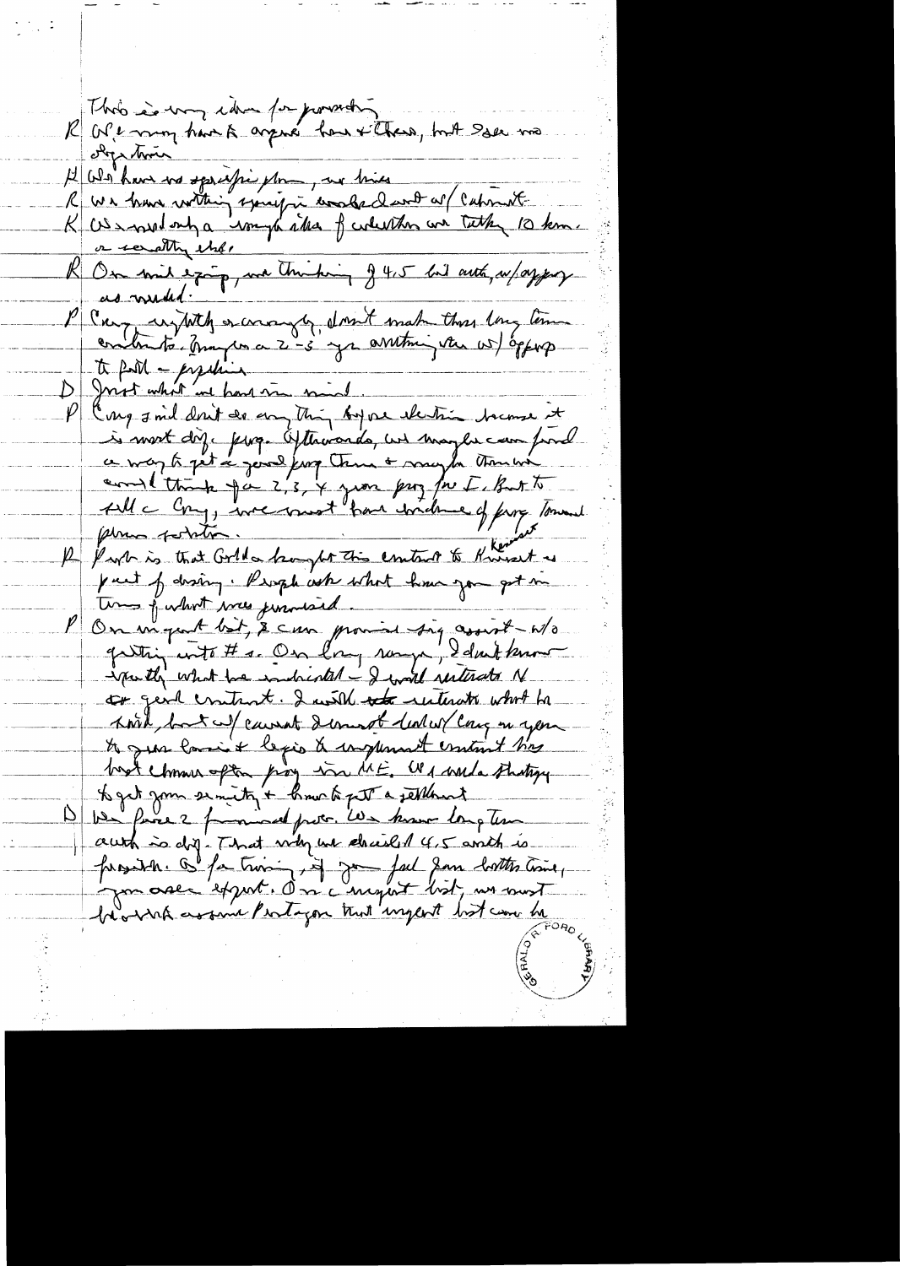Rhob is von idre pourely objection A We have no specific for , we have<br>R we have within spacific woods don't at Cational .<br>R US small ont a wongte atta f whether we take 10 km. or secrethy elser R On mil exig, ma thinking g 4,5 hil auto, au/ayprox as muded. P Can injutely encounter, don't make the long terme<br>contents, Any concert, don't make the cost en DI Joint what we have mind. P carg said don't do anything bype electric because it is most dig. page Ofthowards, we maybe campured coulting pa 2, 3, 4 juin pag for I, But to fille Cong, incernant han include of five Tommed 12 Park is that Gold a hangher this control to Knivert as put f droing. Prophent what have gon got me P On majeurt bit, 2 can promise sig assist Wo gutting with # s. On long range, I don't know spectly what his indicated - I will resterate N to gend contract. I will not restand what he Kort fort al causat demot lealer can in your to gras lasi's legio a complement contract has boot chosen often proy win ME. We would studigy to get zom semity + how to get a sellowed We fince 2 from and prote, We know long tem authis dig- That why we chanced 4,5 anch is fundit de fa trois in Jour fait don contre time, be with assume Pertagon that impert hat care be